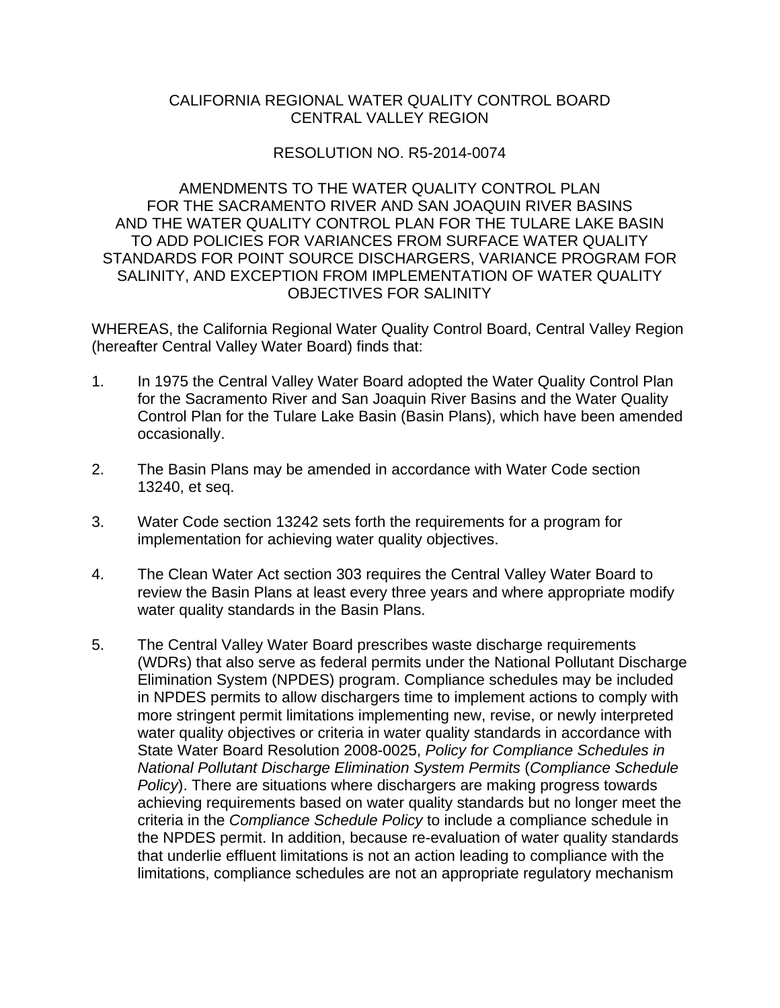# CALIFORNIA REGIONAL WATER QUALITY CONTROL BOARD CENTRAL VALLEY REGION

# RESOLUTION NO. R5-2014-0074

AMENDMENTS TO THE WATER QUALITY CONTROL PLAN FOR THE SACRAMENTO RIVER AND SAN JOAQUIN RIVER BASINS AND THE WATER QUALITY CONTROL PLAN FOR THE TULARE LAKE BASIN TO ADD POLICIES FOR VARIANCES FROM SURFACE WATER QUALITY STANDARDS FOR POINT SOURCE DISCHARGERS, VARIANCE PROGRAM FOR SALINITY, AND EXCEPTION FROM IMPLEMENTATION OF WATER QUALITY OBJECTIVES FOR SALINITY

WHEREAS, the California Regional Water Quality Control Board, Central Valley Region (hereafter Central Valley Water Board) finds that:

- 1. In 1975 the Central Valley Water Board adopted the Water Quality Control Plan for the Sacramento River and San Joaquin River Basins and the Water Quality Control Plan for the Tulare Lake Basin (Basin Plans), which have been amended occasionally.
- 2. The Basin Plans may be amended in accordance with Water Code section 13240, et seq.
- 3. Water Code section 13242 sets forth the requirements for a program for implementation for achieving water quality objectives.
- 4. The Clean Water Act section 303 requires the Central Valley Water Board to review the Basin Plans at least every three years and where appropriate modify water quality standards in the Basin Plans.
- 5. The Central Valley Water Board prescribes waste discharge requirements (WDRs) that also serve as federal permits under the National Pollutant Discharge Elimination System (NPDES) program. Compliance schedules may be included in NPDES permits to allow dischargers time to implement actions to comply with more stringent permit limitations implementing new, revise, or newly interpreted water quality objectives or criteria in water quality standards in accordance with State Water Board Resolution 2008-0025, *Policy for Compliance Schedules in National Pollutant Discharge Elimination System Permits* (*Compliance Schedule Policy*). There are situations where dischargers are making progress towards achieving requirements based on water quality standards but no longer meet the criteria in the *Compliance Schedule Policy* to include a compliance schedule in the NPDES permit. In addition, because re-evaluation of water quality standards that underlie effluent limitations is not an action leading to compliance with the limitations, compliance schedules are not an appropriate regulatory mechanism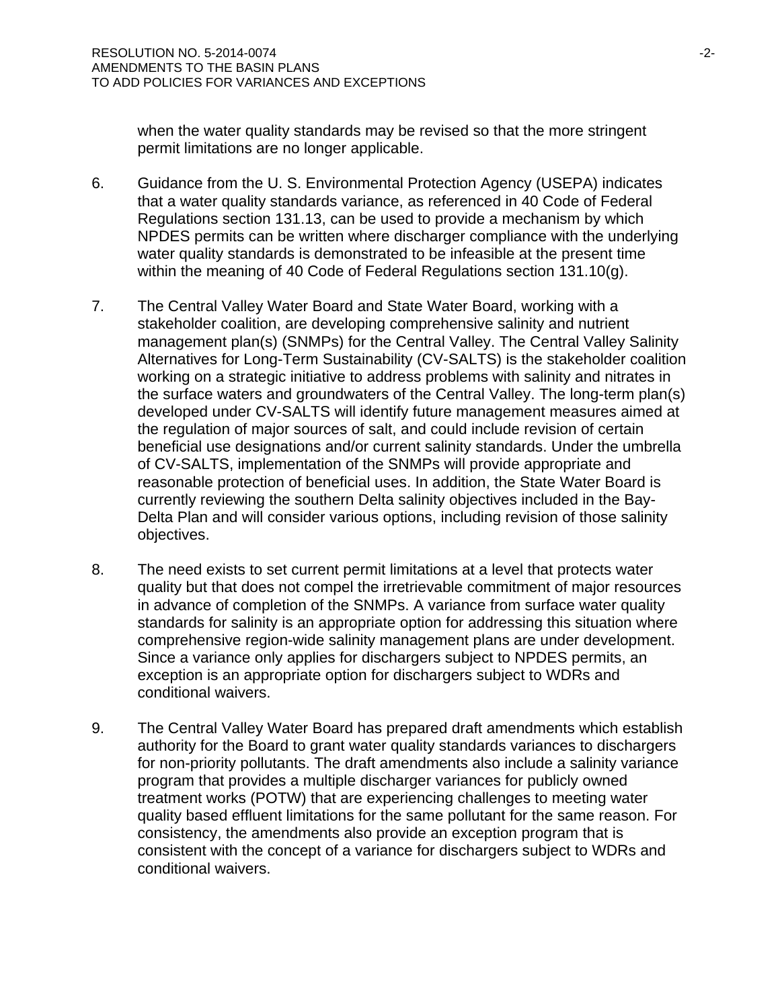when the water quality standards may be revised so that the more stringent permit limitations are no longer applicable.

- 6. Guidance from the U. S. Environmental Protection Agency (USEPA) indicates that a water quality standards variance, as referenced in 40 Code of Federal Regulations section 131.13, can be used to provide a mechanism by which NPDES permits can be written where discharger compliance with the underlying water quality standards is demonstrated to be infeasible at the present time within the meaning of 40 Code of Federal Regulations section 131.10(g).
- 7. The Central Valley Water Board and State Water Board, working with a stakeholder coalition, are developing comprehensive salinity and nutrient management plan(s) (SNMPs) for the Central Valley. The Central Valley Salinity Alternatives for Long-Term Sustainability (CV-SALTS) is the stakeholder coalition working on a strategic initiative to address problems with salinity and nitrates in the surface waters and groundwaters of the Central Valley. The long-term plan(s) developed under CV-SALTS will identify future management measures aimed at the regulation of major sources of salt, and could include revision of certain beneficial use designations and/or current salinity standards. Under the umbrella of CV-SALTS, implementation of the SNMPs will provide appropriate and reasonable protection of beneficial uses. In addition, the State Water Board is currently reviewing the southern Delta salinity objectives included in the Bay-Delta Plan and will consider various options, including revision of those salinity objectives.
- 8. The need exists to set current permit limitations at a level that protects water quality but that does not compel the irretrievable commitment of major resources in advance of completion of the SNMPs. A variance from surface water quality standards for salinity is an appropriate option for addressing this situation where comprehensive region-wide salinity management plans are under development. Since a variance only applies for dischargers subject to NPDES permits, an exception is an appropriate option for dischargers subject to WDRs and conditional waivers.
- 9. The Central Valley Water Board has prepared draft amendments which establish authority for the Board to grant water quality standards variances to dischargers for non-priority pollutants. The draft amendments also include a salinity variance program that provides a multiple discharger variances for publicly owned treatment works (POTW) that are experiencing challenges to meeting water quality based effluent limitations for the same pollutant for the same reason. For consistency, the amendments also provide an exception program that is consistent with the concept of a variance for dischargers subject to WDRs and conditional waivers.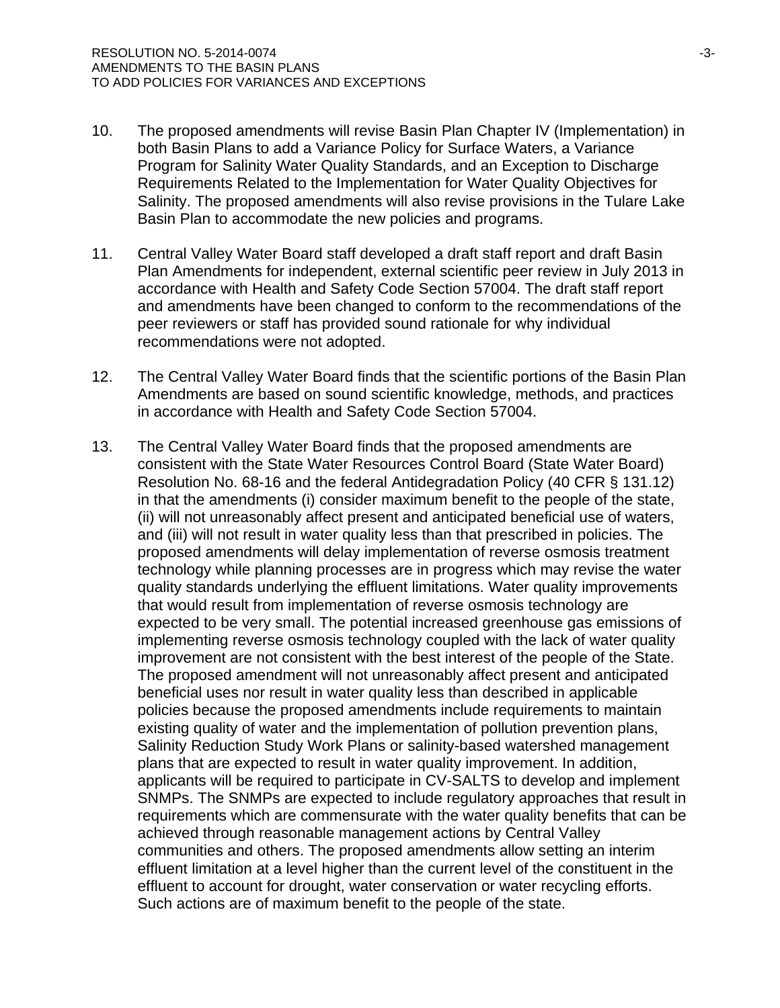- 10. The proposed amendments will revise Basin Plan Chapter IV (Implementation) in both Basin Plans to add a Variance Policy for Surface Waters, a Variance Program for Salinity Water Quality Standards, and an Exception to Discharge Requirements Related to the Implementation for Water Quality Objectives for Salinity. The proposed amendments will also revise provisions in the Tulare Lake Basin Plan to accommodate the new policies and programs.
- 11. Central Valley Water Board staff developed a draft staff report and draft Basin Plan Amendments for independent, external scientific peer review in July 2013 in accordance with Health and Safety Code Section 57004. The draft staff report and amendments have been changed to conform to the recommendations of the peer reviewers or staff has provided sound rationale for why individual recommendations were not adopted.
- 12. The Central Valley Water Board finds that the scientific portions of the Basin Plan Amendments are based on sound scientific knowledge, methods, and practices in accordance with Health and Safety Code Section 57004.
- 13. The Central Valley Water Board finds that the proposed amendments are consistent with the State Water Resources Control Board (State Water Board) Resolution No. 68-16 and the federal Antidegradation Policy (40 CFR § 131.12) in that the amendments (i) consider maximum benefit to the people of the state, (ii) will not unreasonably affect present and anticipated beneficial use of waters, and (iii) will not result in water quality less than that prescribed in policies. The proposed amendments will delay implementation of reverse osmosis treatment technology while planning processes are in progress which may revise the water quality standards underlying the effluent limitations. Water quality improvements that would result from implementation of reverse osmosis technology are expected to be very small. The potential increased greenhouse gas emissions of implementing reverse osmosis technology coupled with the lack of water quality improvement are not consistent with the best interest of the people of the State. The proposed amendment will not unreasonably affect present and anticipated beneficial uses nor result in water quality less than described in applicable policies because the proposed amendments include requirements to maintain existing quality of water and the implementation of pollution prevention plans, Salinity Reduction Study Work Plans or salinity-based watershed management plans that are expected to result in water quality improvement. In addition, applicants will be required to participate in CV-SALTS to develop and implement SNMPs. The SNMPs are expected to include regulatory approaches that result in requirements which are commensurate with the water quality benefits that can be achieved through reasonable management actions by Central Valley communities and others. The proposed amendments allow setting an interim effluent limitation at a level higher than the current level of the constituent in the effluent to account for drought, water conservation or water recycling efforts. Such actions are of maximum benefit to the people of the state.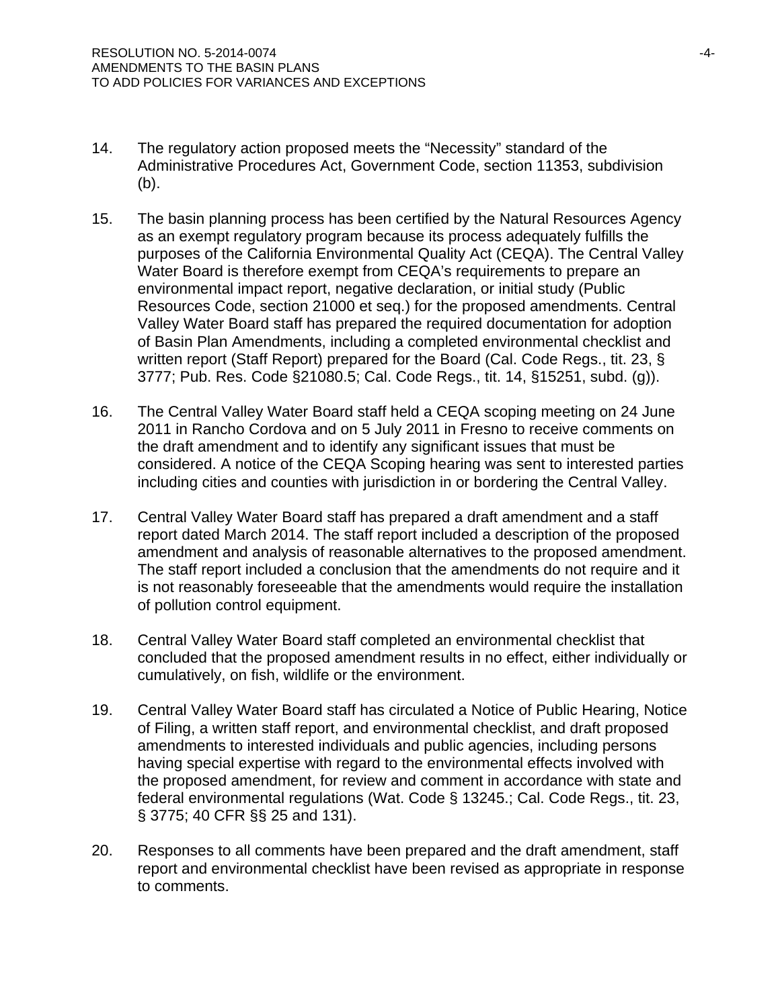- 14. The regulatory action proposed meets the "Necessity" standard of the Administrative Procedures Act, Government Code, section 11353, subdivision (b).
- 15. The basin planning process has been certified by the Natural Resources Agency as an exempt regulatory program because its process adequately fulfills the purposes of the California Environmental Quality Act (CEQA). The Central Valley Water Board is therefore exempt from CEQA's requirements to prepare an environmental impact report, negative declaration, or initial study (Public Resources Code, section 21000 et seq.) for the proposed amendments. Central Valley Water Board staff has prepared the required documentation for adoption of Basin Plan Amendments, including a completed environmental checklist and written report (Staff Report) prepared for the Board (Cal. Code Regs., tit. 23, § 3777; Pub. Res. Code §21080.5; Cal. Code Regs., tit. 14, §15251, subd. (g)).
- 16. The Central Valley Water Board staff held a CEQA scoping meeting on 24 June 2011 in Rancho Cordova and on 5 July 2011 in Fresno to receive comments on the draft amendment and to identify any significant issues that must be considered. A notice of the CEQA Scoping hearing was sent to interested parties including cities and counties with jurisdiction in or bordering the Central Valley.
- 17. Central Valley Water Board staff has prepared a draft amendment and a staff report dated March 2014. The staff report included a description of the proposed amendment and analysis of reasonable alternatives to the proposed amendment. The staff report included a conclusion that the amendments do not require and it is not reasonably foreseeable that the amendments would require the installation of pollution control equipment.
- 18. Central Valley Water Board staff completed an environmental checklist that concluded that the proposed amendment results in no effect, either individually or cumulatively, on fish, wildlife or the environment.
- 19. Central Valley Water Board staff has circulated a Notice of Public Hearing, Notice of Filing, a written staff report, and environmental checklist, and draft proposed amendments to interested individuals and public agencies, including persons having special expertise with regard to the environmental effects involved with the proposed amendment, for review and comment in accordance with state and federal environmental regulations (Wat. Code § 13245.; Cal. Code Regs., tit. 23, § 3775; 40 CFR §§ 25 and 131).
- 20. Responses to all comments have been prepared and the draft amendment, staff report and environmental checklist have been revised as appropriate in response to comments.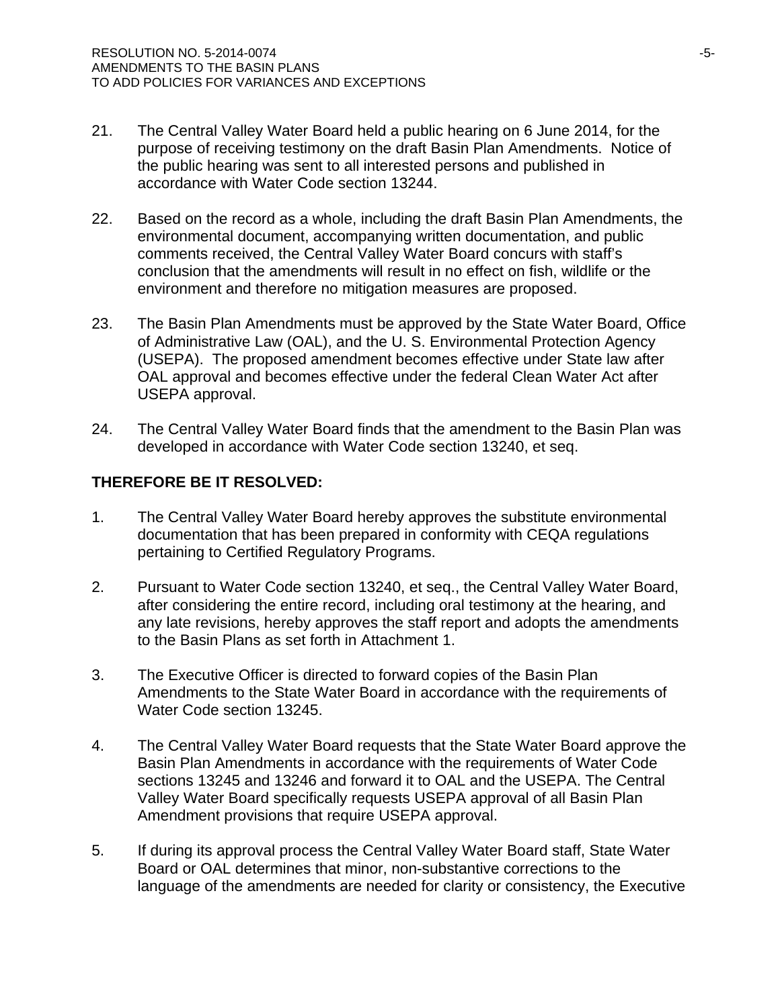- 21. The Central Valley Water Board held a public hearing on 6 June 2014, for the purpose of receiving testimony on the draft Basin Plan Amendments. Notice of the public hearing was sent to all interested persons and published in accordance with Water Code section 13244.
- 22. Based on the record as a whole, including the draft Basin Plan Amendments, the environmental document, accompanying written documentation, and public comments received, the Central Valley Water Board concurs with staff's conclusion that the amendments will result in no effect on fish, wildlife or the environment and therefore no mitigation measures are proposed.
- 23. The Basin Plan Amendments must be approved by the State Water Board, Office of Administrative Law (OAL), and the U. S. Environmental Protection Agency (USEPA). The proposed amendment becomes effective under State law after OAL approval and becomes effective under the federal Clean Water Act after USEPA approval.
- 24. The Central Valley Water Board finds that the amendment to the Basin Plan was developed in accordance with Water Code section 13240, et seq.

# **THEREFORE BE IT RESOLVED:**

- 1. The Central Valley Water Board hereby approves the substitute environmental documentation that has been prepared in conformity with CEQA regulations pertaining to Certified Regulatory Programs.
- 2. Pursuant to Water Code section 13240, et seq., the Central Valley Water Board, after considering the entire record, including oral testimony at the hearing, and any late revisions, hereby approves the staff report and adopts the amendments to the Basin Plans as set forth in Attachment 1.
- 3. The Executive Officer is directed to forward copies of the Basin Plan Amendments to the State Water Board in accordance with the requirements of Water Code section 13245.
- 4. The Central Valley Water Board requests that the State Water Board approve the Basin Plan Amendments in accordance with the requirements of Water Code sections 13245 and 13246 and forward it to OAL and the USEPA. The Central Valley Water Board specifically requests USEPA approval of all Basin Plan Amendment provisions that require USEPA approval.
- 5. If during its approval process the Central Valley Water Board staff, State Water Board or OAL determines that minor, non-substantive corrections to the language of the amendments are needed for clarity or consistency, the Executive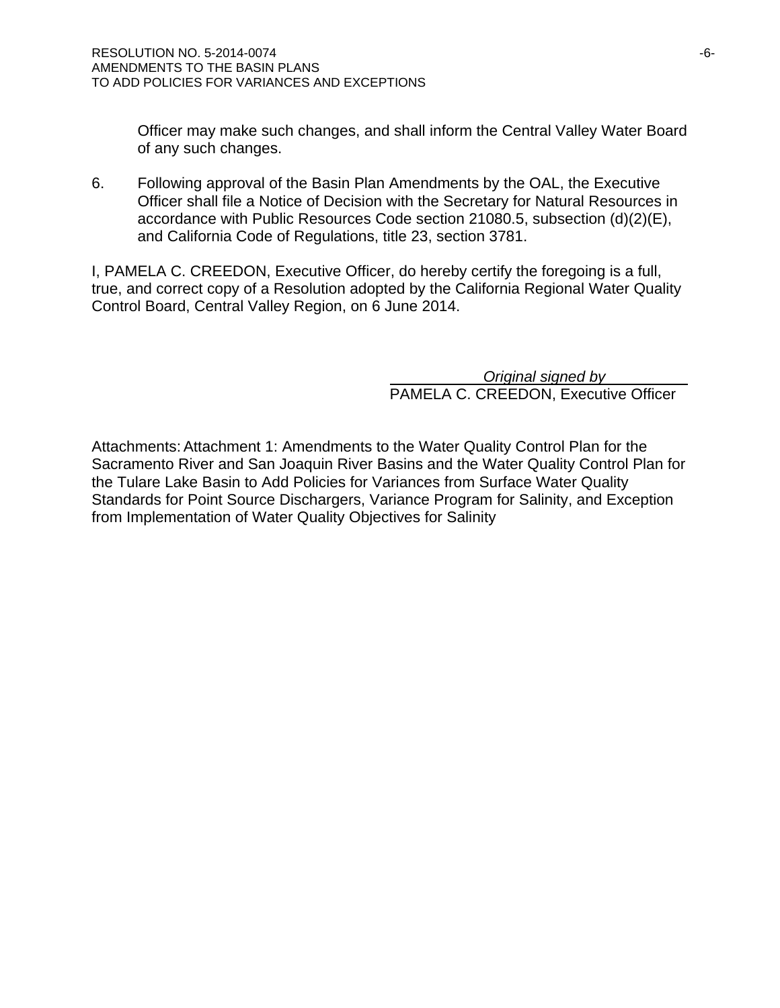Officer may make such changes, and shall inform the Central Valley Water Board of any such changes.

6. Following approval of the Basin Plan Amendments by the OAL, the Executive Officer shall file a Notice of Decision with the Secretary for Natural Resources in accordance with Public Resources Code section 21080.5, subsection (d)(2)(E), and California Code of Regulations, title 23, section 3781.

I, PAMELA C. CREEDON, Executive Officer, do hereby certify the foregoing is a full, true, and correct copy of a Resolution adopted by the California Regional Water Quality Control Board, Central Valley Region, on 6 June 2014.

> *Original signed by*  PAMELA C. CREEDON, Executive Officer

Attachments: Attachment 1: Amendments to the Water Quality Control Plan for the Sacramento River and San Joaquin River Basins and the Water Quality Control Plan for the Tulare Lake Basin to Add Policies for Variances from Surface Water Quality Standards for Point Source Dischargers, Variance Program for Salinity, and Exception from Implementation of Water Quality Objectives for Salinity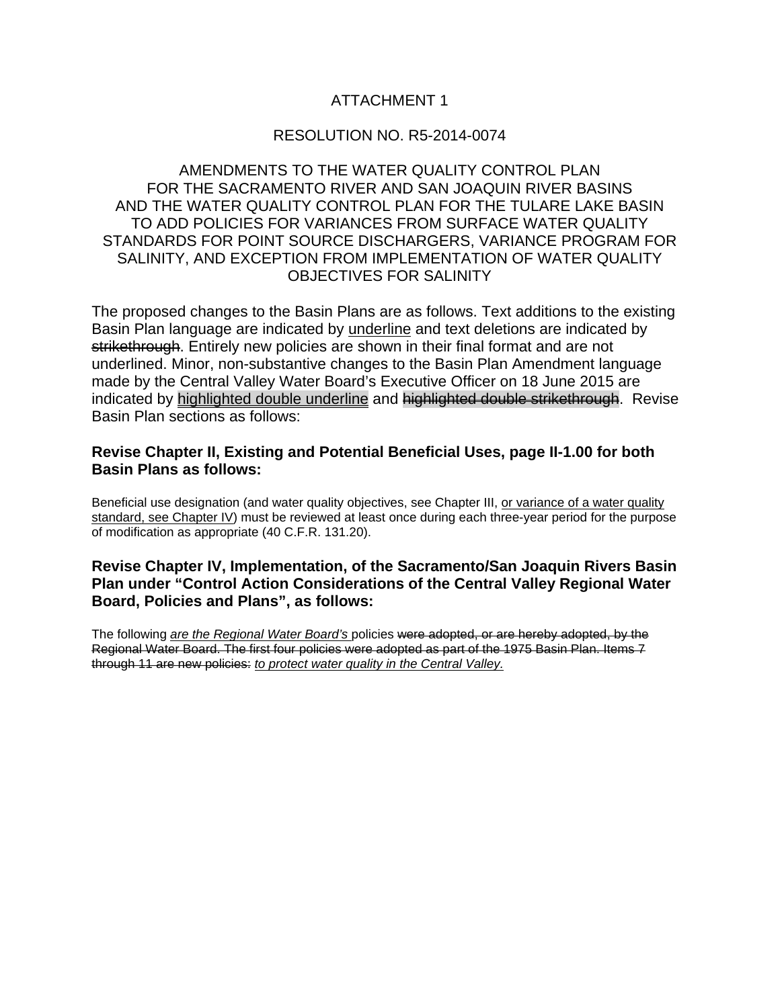# ATTACHMENT 1

## RESOLUTION NO. R5-2014-0074

# AMENDMENTS TO THE WATER OUALITY CONTROL PLAN FOR THE SACRAMENTO RIVER AND SAN JOAQUIN RIVER BASINS AND THE WATER QUALITY CONTROL PLAN FOR THE TULARE LAKE BASIN TO ADD POLICIES FOR VARIANCES FROM SURFACE WATER QUALITY STANDARDS FOR POINT SOURCE DISCHARGERS, VARIANCE PROGRAM FOR SALINITY, AND EXCEPTION FROM IMPLEMENTATION OF WATER QUALITY OBJECTIVES FOR SALINITY

The proposed changes to the Basin Plans are as follows. Text additions to the existing Basin Plan language are indicated by underline and text deletions are indicated by strikethrough. Entirely new policies are shown in their final format and are not underlined. Minor, non-substantive changes to the Basin Plan Amendment language made by the Central Valley Water Board's Executive Officer on 18 June 2015 are indicated by highlighted double underline and highlighted double strikethrough. Revise Basin Plan sections as follows:

## **Revise Chapter II, Existing and Potential Beneficial Uses, page II-1.00 for both Basin Plans as follows:**

Beneficial use designation (and water quality objectives, see Chapter III, or variance of a water quality standard, see Chapter IV) must be reviewed at least once during each three-year period for the purpose of modification as appropriate (40 C.F.R. 131.20).

## **Revise Chapter IV, Implementation, of the Sacramento/San Joaquin Rivers Basin Plan under "Control Action Considerations of the Central Valley Regional Water Board, Policies and Plans", as follows:**

The following *are the Regional Water Board's* policies were adopted, or are hereby adopted, by the Regional Water Board. The first four policies were adopted as part of the 1975 Basin Plan. Items 7 through 11 are new policies: *to protect water quality in the Central Valley.*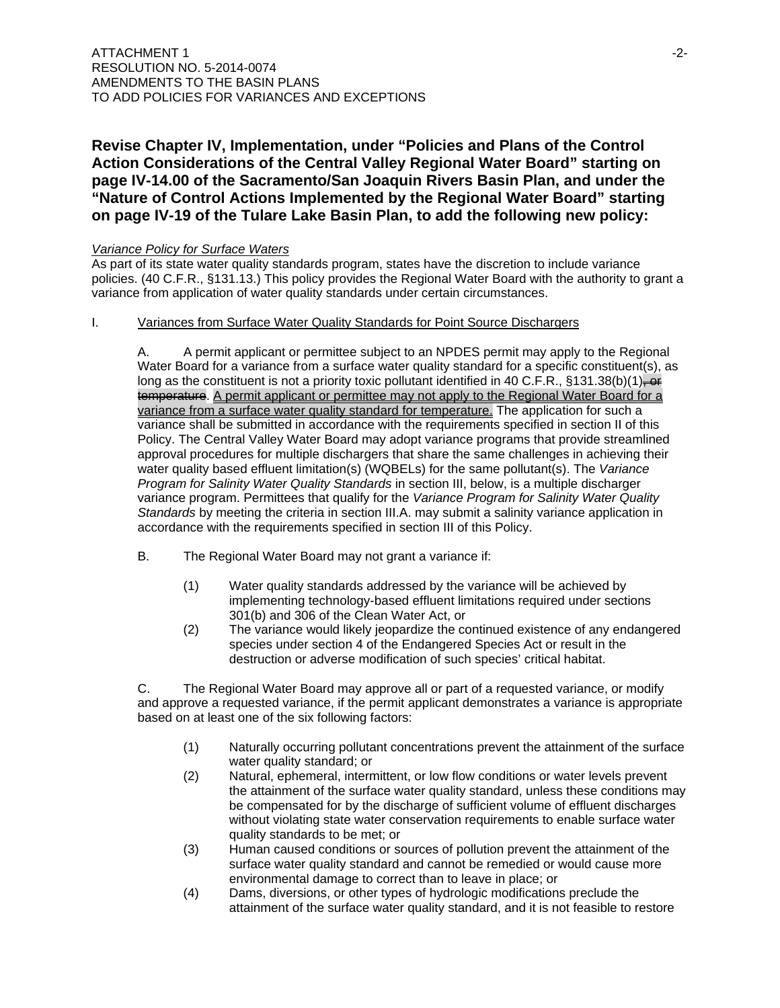# **Revise Chapter IV, Implementation, under "Policies and Plans of the Control Action Considerations of the Central Valley Regional Water Board" starting on page IV-14.00 of the Sacramento/San Joaquin Rivers Basin Plan, and under the "Nature of Control Actions Implemented by the Regional Water Board" starting on page IV-19 of the Tulare Lake Basin Plan, to add the following new policy:**

### *Variance Policy for Surface Waters*

As part of its state water quality standards program, states have the discretion to include variance policies. (40 C.F.R., §131.13.) This policy provides the Regional Water Board with the authority to grant a variance from application of water quality standards under certain circumstances.

### I. Variances from Surface Water Quality Standards for Point Source Dischargers

A. A permit applicant or permittee subject to an NPDES permit may apply to the Regional Water Board for a variance from a surface water quality standard for a specific constituent(s), as long as the constituent is not a priority toxic pollutant identified in 40 C.F.R., §131.38(b)(1) $\leftrightarrow$ temperature. A permit applicant or permittee may not apply to the Regional Water Board for a variance from a surface water quality standard for temperature. The application for such a variance shall be submitted in accordance with the requirements specified in section II of this Policy. The Central Valley Water Board may adopt variance programs that provide streamlined approval procedures for multiple dischargers that share the same challenges in achieving their water quality based effluent limitation(s) (WQBELs) for the same pollutant(s). The *Variance Program for Salinity Water Quality Standards* in section III, below, is a multiple discharger variance program. Permittees that qualify for the *Variance Program for Salinity Water Quality Standards* by meeting the criteria in section III.A. may submit a salinity variance application in accordance with the requirements specified in section III of this Policy.

- B. The Regional Water Board may not grant a variance if:
	- (1) Water quality standards addressed by the variance will be achieved by implementing technology-based effluent limitations required under sections 301(b) and 306 of the Clean Water Act, or
	- (2) The variance would likely jeopardize the continued existence of any endangered species under section 4 of the Endangered Species Act or result in the destruction or adverse modification of such species' critical habitat.

C. The Regional Water Board may approve all or part of a requested variance, or modify and approve a requested variance, if the permit applicant demonstrates a variance is appropriate based on at least one of the six following factors:

- (1) Naturally occurring pollutant concentrations prevent the attainment of the surface water quality standard; or
- (2) Natural, ephemeral, intermittent, or low flow conditions or water levels prevent the attainment of the surface water quality standard, unless these conditions may be compensated for by the discharge of sufficient volume of effluent discharges without violating state water conservation requirements to enable surface water quality standards to be met; or
- (3) Human caused conditions or sources of pollution prevent the attainment of the surface water quality standard and cannot be remedied or would cause more environmental damage to correct than to leave in place; or
- (4) Dams, diversions, or other types of hydrologic modifications preclude the attainment of the surface water quality standard, and it is not feasible to restore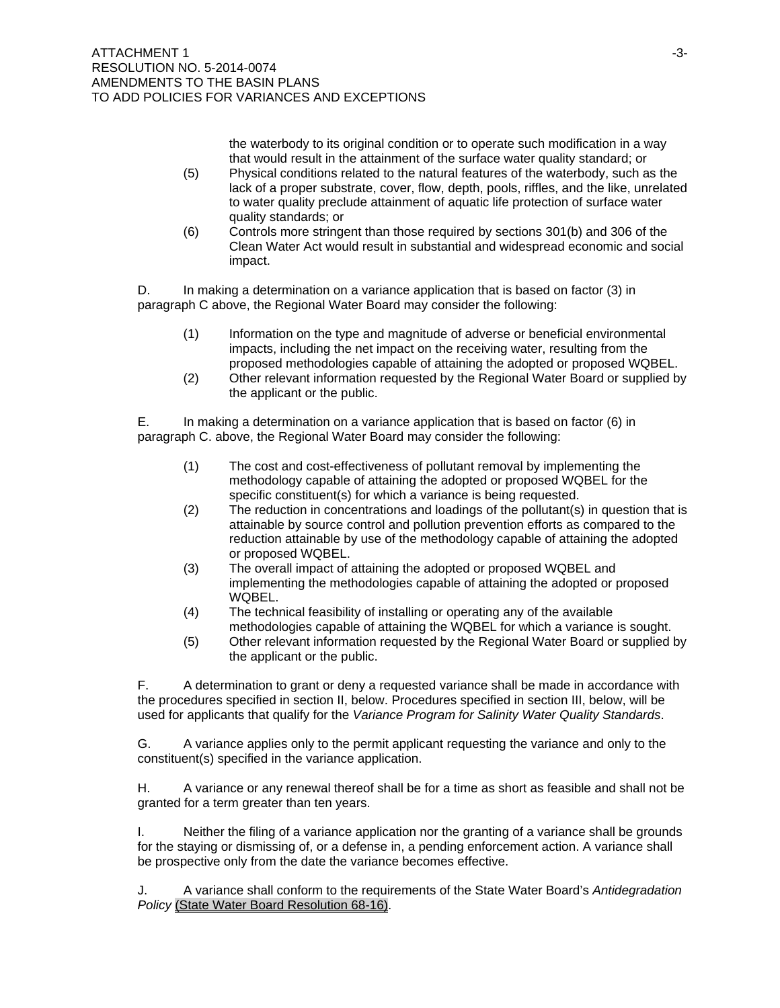the waterbody to its original condition or to operate such modification in a way that would result in the attainment of the surface water quality standard; or

- (5) Physical conditions related to the natural features of the waterbody, such as the lack of a proper substrate, cover, flow, depth, pools, riffles, and the like, unrelated to water quality preclude attainment of aquatic life protection of surface water quality standards; or
- (6) Controls more stringent than those required by sections 301(b) and 306 of the Clean Water Act would result in substantial and widespread economic and social impact.

D. In making a determination on a variance application that is based on factor (3) in paragraph C above, the Regional Water Board may consider the following:

- (1) Information on the type and magnitude of adverse or beneficial environmental impacts, including the net impact on the receiving water, resulting from the proposed methodologies capable of attaining the adopted or proposed WQBEL.
- (2) Other relevant information requested by the Regional Water Board or supplied by the applicant or the public.

E. In making a determination on a variance application that is based on factor (6) in paragraph C. above, the Regional Water Board may consider the following:

- (1) The cost and cost-effectiveness of pollutant removal by implementing the methodology capable of attaining the adopted or proposed WQBEL for the specific constituent(s) for which a variance is being requested.
- (2) The reduction in concentrations and loadings of the pollutant(s) in question that is attainable by source control and pollution prevention efforts as compared to the reduction attainable by use of the methodology capable of attaining the adopted or proposed WQBEL.
- (3) The overall impact of attaining the adopted or proposed WQBEL and implementing the methodologies capable of attaining the adopted or proposed WQBEL.
- (4) The technical feasibility of installing or operating any of the available methodologies capable of attaining the WQBEL for which a variance is sought.
- (5) Other relevant information requested by the Regional Water Board or supplied by the applicant or the public.

F. A determination to grant or deny a requested variance shall be made in accordance with the procedures specified in section II, below. Procedures specified in section III, below, will be used for applicants that qualify for the *Variance Program for Salinity Water Quality Standards*.

G. A variance applies only to the permit applicant requesting the variance and only to the constituent(s) specified in the variance application.

H. A variance or any renewal thereof shall be for a time as short as feasible and shall not be granted for a term greater than ten years.

I. Neither the filing of a variance application nor the granting of a variance shall be grounds for the staying or dismissing of, or a defense in, a pending enforcement action. A variance shall be prospective only from the date the variance becomes effective.

J. A variance shall conform to the requirements of the State Water Board's *Antidegradation Policy* (State Water Board Resolution 68-16).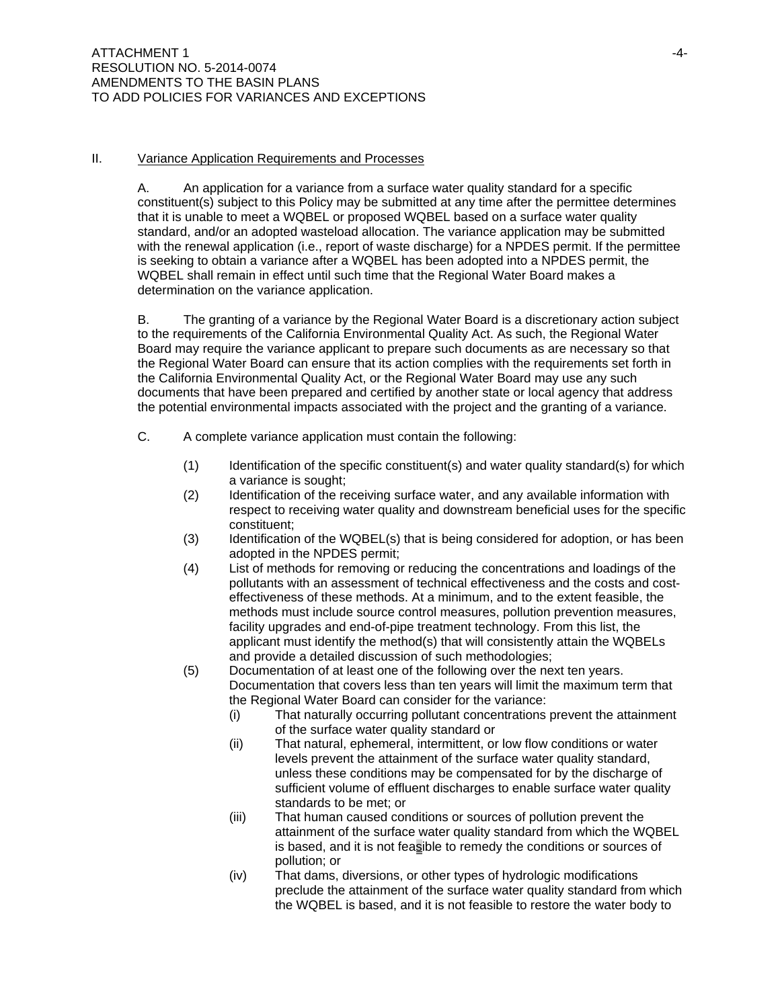### II. Variance Application Requirements and Processes

A. An application for a variance from a surface water quality standard for a specific constituent(s) subject to this Policy may be submitted at any time after the permittee determines that it is unable to meet a WQBEL or proposed WQBEL based on a surface water quality standard, and/or an adopted wasteload allocation. The variance application may be submitted with the renewal application (i.e., report of waste discharge) for a NPDES permit. If the permittee is seeking to obtain a variance after a WQBEL has been adopted into a NPDES permit, the WQBEL shall remain in effect until such time that the Regional Water Board makes a determination on the variance application.

B. The granting of a variance by the Regional Water Board is a discretionary action subject to the requirements of the California Environmental Quality Act. As such, the Regional Water Board may require the variance applicant to prepare such documents as are necessary so that the Regional Water Board can ensure that its action complies with the requirements set forth in the California Environmental Quality Act, or the Regional Water Board may use any such documents that have been prepared and certified by another state or local agency that address the potential environmental impacts associated with the project and the granting of a variance.

- C. A complete variance application must contain the following:
	- (1) Identification of the specific constituent(s) and water quality standard(s) for which a variance is sought;
	- (2) Identification of the receiving surface water, and any available information with respect to receiving water quality and downstream beneficial uses for the specific constituent;
	- (3) Identification of the WQBEL(s) that is being considered for adoption, or has been adopted in the NPDES permit;
	- (4) List of methods for removing or reducing the concentrations and loadings of the pollutants with an assessment of technical effectiveness and the costs and costeffectiveness of these methods. At a minimum, and to the extent feasible, the methods must include source control measures, pollution prevention measures, facility upgrades and end-of-pipe treatment technology. From this list, the applicant must identify the method(s) that will consistently attain the WQBELs and provide a detailed discussion of such methodologies;
	- (5) Documentation of at least one of the following over the next ten years. Documentation that covers less than ten years will limit the maximum term that the Regional Water Board can consider for the variance:
		- (i) That naturally occurring pollutant concentrations prevent the attainment of the surface water quality standard or
		- (ii) That natural, ephemeral, intermittent, or low flow conditions or water levels prevent the attainment of the surface water quality standard, unless these conditions may be compensated for by the discharge of sufficient volume of effluent discharges to enable surface water quality standards to be met; or
		- (iii) That human caused conditions or sources of pollution prevent the attainment of the surface water quality standard from which the WQBEL is based, and it is not feasible to remedy the conditions or sources of pollution; or
		- (iv) That dams, diversions, or other types of hydrologic modifications preclude the attainment of the surface water quality standard from which the WQBEL is based, and it is not feasible to restore the water body to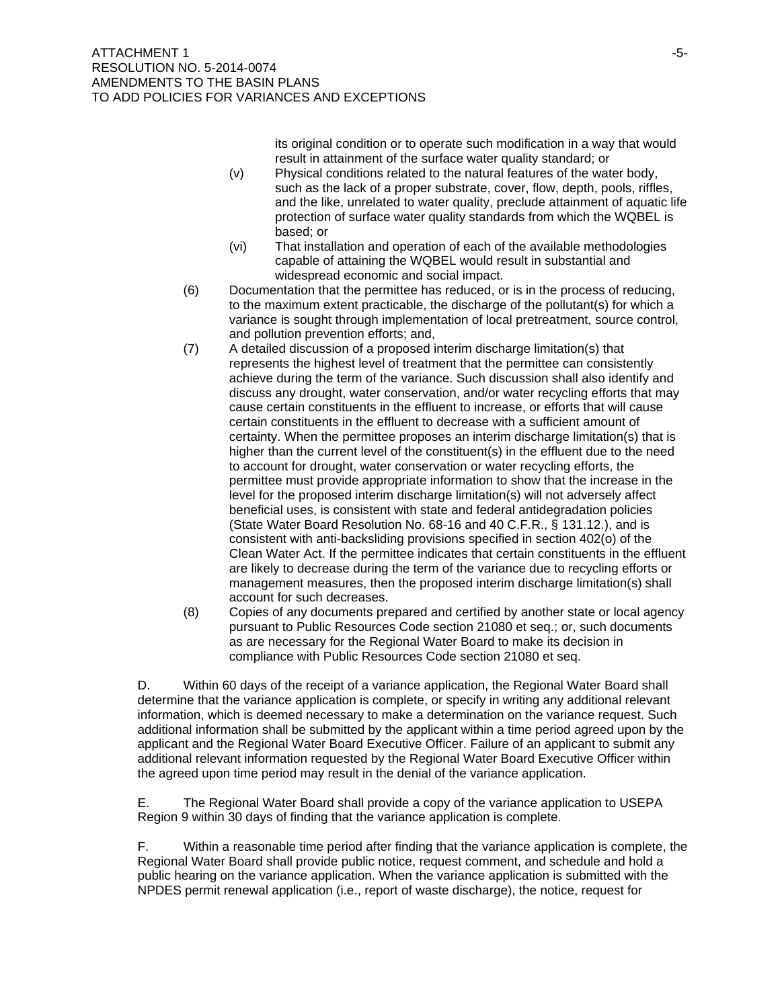its original condition or to operate such modification in a way that would result in attainment of the surface water quality standard; or

- (v) Physical conditions related to the natural features of the water body, such as the lack of a proper substrate, cover, flow, depth, pools, riffles, and the like, unrelated to water quality, preclude attainment of aquatic life protection of surface water quality standards from which the WQBEL is based; or
- (vi) That installation and operation of each of the available methodologies capable of attaining the WQBEL would result in substantial and widespread economic and social impact.
- (6) Documentation that the permittee has reduced, or is in the process of reducing, to the maximum extent practicable, the discharge of the pollutant(s) for which a variance is sought through implementation of local pretreatment, source control, and pollution prevention efforts; and,
- (7) A detailed discussion of a proposed interim discharge limitation(s) that represents the highest level of treatment that the permittee can consistently achieve during the term of the variance. Such discussion shall also identify and discuss any drought, water conservation, and/or water recycling efforts that may cause certain constituents in the effluent to increase, or efforts that will cause certain constituents in the effluent to decrease with a sufficient amount of certainty. When the permittee proposes an interim discharge limitation(s) that is higher than the current level of the constituent(s) in the effluent due to the need to account for drought, water conservation or water recycling efforts, the permittee must provide appropriate information to show that the increase in the level for the proposed interim discharge limitation(s) will not adversely affect beneficial uses, is consistent with state and federal antidegradation policies (State Water Board Resolution No. 68-16 and 40 C.F.R., § 131.12.), and is consistent with anti-backsliding provisions specified in section 402(o) of the Clean Water Act. If the permittee indicates that certain constituents in the effluent are likely to decrease during the term of the variance due to recycling efforts or management measures, then the proposed interim discharge limitation(s) shall account for such decreases.
- (8) Copies of any documents prepared and certified by another state or local agency pursuant to Public Resources Code section 21080 et seq.; or, such documents as are necessary for the Regional Water Board to make its decision in compliance with Public Resources Code section 21080 et seq.

D. Within 60 days of the receipt of a variance application, the Regional Water Board shall determine that the variance application is complete, or specify in writing any additional relevant information, which is deemed necessary to make a determination on the variance request. Such additional information shall be submitted by the applicant within a time period agreed upon by the applicant and the Regional Water Board Executive Officer. Failure of an applicant to submit any additional relevant information requested by the Regional Water Board Executive Officer within the agreed upon time period may result in the denial of the variance application.

E. The Regional Water Board shall provide a copy of the variance application to USEPA Region 9 within 30 days of finding that the variance application is complete.

F. Within a reasonable time period after finding that the variance application is complete, the Regional Water Board shall provide public notice, request comment, and schedule and hold a public hearing on the variance application. When the variance application is submitted with the NPDES permit renewal application (i.e., report of waste discharge), the notice, request for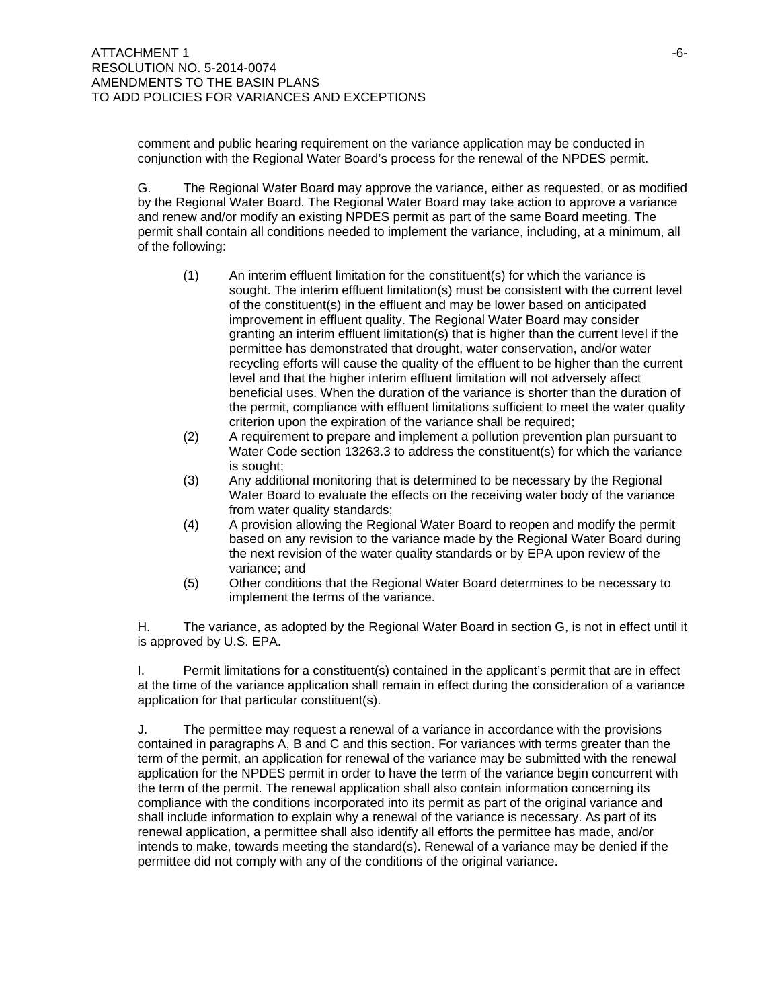comment and public hearing requirement on the variance application may be conducted in conjunction with the Regional Water Board's process for the renewal of the NPDES permit.

G. The Regional Water Board may approve the variance, either as requested, or as modified by the Regional Water Board. The Regional Water Board may take action to approve a variance and renew and/or modify an existing NPDES permit as part of the same Board meeting. The permit shall contain all conditions needed to implement the variance, including, at a minimum, all of the following:

- (1) An interim effluent limitation for the constituent(s) for which the variance is sought. The interim effluent limitation(s) must be consistent with the current level of the constituent(s) in the effluent and may be lower based on anticipated improvement in effluent quality. The Regional Water Board may consider granting an interim effluent limitation(s) that is higher than the current level if the permittee has demonstrated that drought, water conservation, and/or water recycling efforts will cause the quality of the effluent to be higher than the current level and that the higher interim effluent limitation will not adversely affect beneficial uses. When the duration of the variance is shorter than the duration of the permit, compliance with effluent limitations sufficient to meet the water quality criterion upon the expiration of the variance shall be required;
- (2) A requirement to prepare and implement a pollution prevention plan pursuant to Water Code section 13263.3 to address the constituent(s) for which the variance is sought;
- (3) Any additional monitoring that is determined to be necessary by the Regional Water Board to evaluate the effects on the receiving water body of the variance from water quality standards;
- (4) A provision allowing the Regional Water Board to reopen and modify the permit based on any revision to the variance made by the Regional Water Board during the next revision of the water quality standards or by EPA upon review of the variance; and
- (5) Other conditions that the Regional Water Board determines to be necessary to implement the terms of the variance.

H. The variance, as adopted by the Regional Water Board in section G, is not in effect until it is approved by U.S. EPA.

I. Permit limitations for a constituent(s) contained in the applicant's permit that are in effect at the time of the variance application shall remain in effect during the consideration of a variance application for that particular constituent(s).

J. The permittee may request a renewal of a variance in accordance with the provisions contained in paragraphs A, B and C and this section. For variances with terms greater than the term of the permit, an application for renewal of the variance may be submitted with the renewal application for the NPDES permit in order to have the term of the variance begin concurrent with the term of the permit. The renewal application shall also contain information concerning its compliance with the conditions incorporated into its permit as part of the original variance and shall include information to explain why a renewal of the variance is necessary. As part of its renewal application, a permittee shall also identify all efforts the permittee has made, and/or intends to make, towards meeting the standard(s). Renewal of a variance may be denied if the permittee did not comply with any of the conditions of the original variance.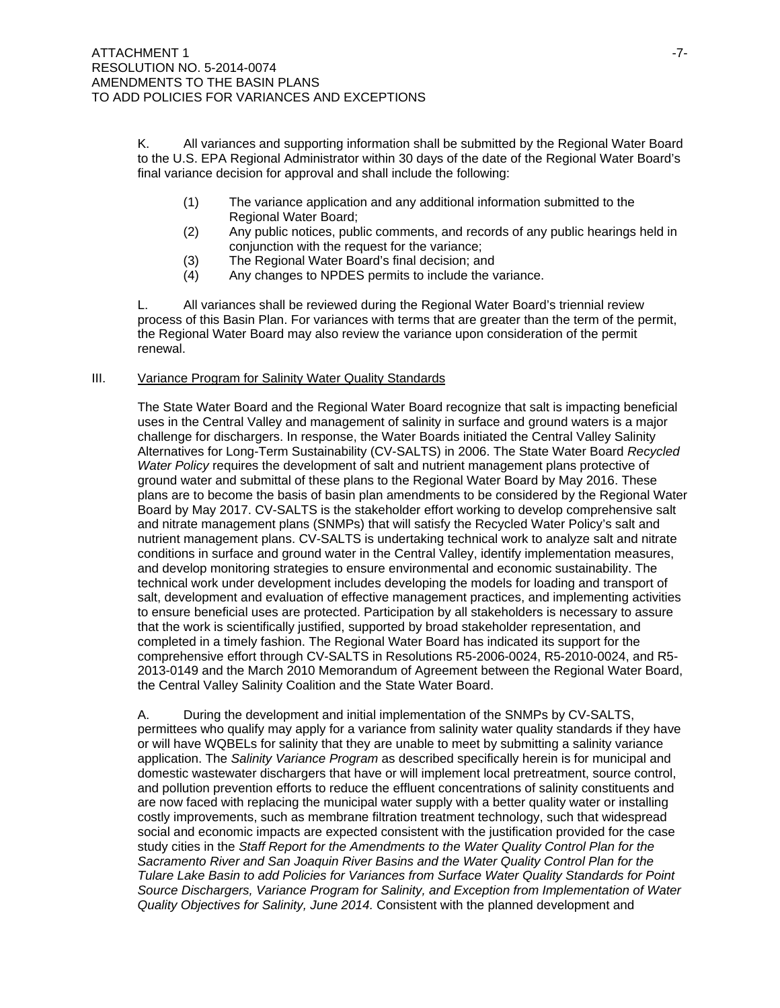K. All variances and supporting information shall be submitted by the Regional Water Board to the U.S. EPA Regional Administrator within 30 days of the date of the Regional Water Board's final variance decision for approval and shall include the following:

- (1) The variance application and any additional information submitted to the Regional Water Board;
- (2) Any public notices, public comments, and records of any public hearings held in conjunction with the request for the variance;
- (3) The Regional Water Board's final decision; and
- (4) Any changes to NPDES permits to include the variance.

L. All variances shall be reviewed during the Regional Water Board's triennial review process of this Basin Plan. For variances with terms that are greater than the term of the permit, the Regional Water Board may also review the variance upon consideration of the permit renewal.

### III. Variance Program for Salinity Water Quality Standards

The State Water Board and the Regional Water Board recognize that salt is impacting beneficial uses in the Central Valley and management of salinity in surface and ground waters is a major challenge for dischargers. In response, the Water Boards initiated the Central Valley Salinity Alternatives for Long-Term Sustainability (CV-SALTS) in 2006. The State Water Board *Recycled Water Policy* requires the development of salt and nutrient management plans protective of ground water and submittal of these plans to the Regional Water Board by May 2016. These plans are to become the basis of basin plan amendments to be considered by the Regional Water Board by May 2017. CV-SALTS is the stakeholder effort working to develop comprehensive salt and nitrate management plans (SNMPs) that will satisfy the Recycled Water Policy's salt and nutrient management plans. CV-SALTS is undertaking technical work to analyze salt and nitrate conditions in surface and ground water in the Central Valley, identify implementation measures, and develop monitoring strategies to ensure environmental and economic sustainability. The technical work under development includes developing the models for loading and transport of salt, development and evaluation of effective management practices, and implementing activities to ensure beneficial uses are protected. Participation by all stakeholders is necessary to assure that the work is scientifically justified, supported by broad stakeholder representation, and completed in a timely fashion. The Regional Water Board has indicated its support for the comprehensive effort through CV-SALTS in Resolutions R5-2006-0024, R5-2010-0024, and R5- 2013-0149 and the March 2010 Memorandum of Agreement between the Regional Water Board, the Central Valley Salinity Coalition and the State Water Board.

A. During the development and initial implementation of the SNMPs by CV-SALTS, permittees who qualify may apply for a variance from salinity water quality standards if they have or will have WQBELs for salinity that they are unable to meet by submitting a salinity variance application. The *Salinity Variance Program* as described specifically herein is for municipal and domestic wastewater dischargers that have or will implement local pretreatment, source control, and pollution prevention efforts to reduce the effluent concentrations of salinity constituents and are now faced with replacing the municipal water supply with a better quality water or installing costly improvements, such as membrane filtration treatment technology, such that widespread social and economic impacts are expected consistent with the justification provided for the case study cities in the *Staff Report for the Amendments to the Water Quality Control Plan for the Sacramento River and San Joaquin River Basins and the Water Quality Control Plan for the Tulare Lake Basin to add Policies for Variances from Surface Water Quality Standards for Point Source Dischargers, Variance Program for Salinity, and Exception from Implementation of Water Quality Objectives for Salinity, June 2014.* Consistent with the planned development and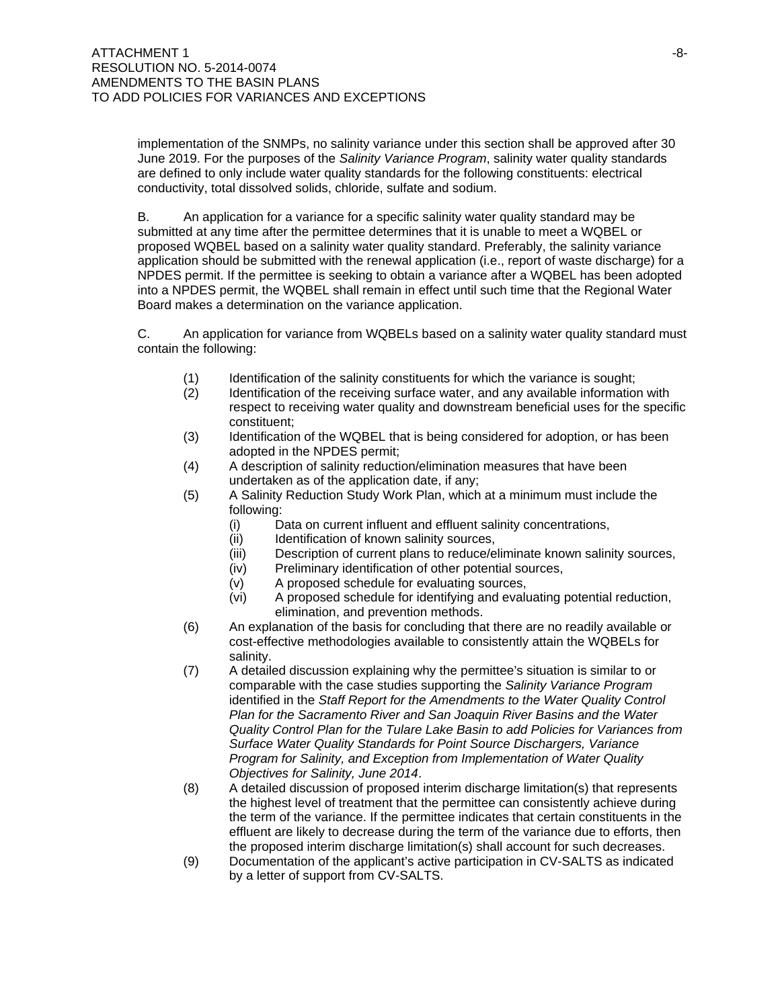implementation of the SNMPs, no salinity variance under this section shall be approved after 30 June 2019. For the purposes of the *Salinity Variance Program*, salinity water quality standards are defined to only include water quality standards for the following constituents: electrical conductivity, total dissolved solids, chloride, sulfate and sodium.

B. An application for a variance for a specific salinity water quality standard may be submitted at any time after the permittee determines that it is unable to meet a WQBEL or proposed WQBEL based on a salinity water quality standard. Preferably, the salinity variance application should be submitted with the renewal application (i.e., report of waste discharge) for a NPDES permit. If the permittee is seeking to obtain a variance after a WQBEL has been adopted into a NPDES permit, the WQBEL shall remain in effect until such time that the Regional Water Board makes a determination on the variance application.

C. An application for variance from WQBELs based on a salinity water quality standard must contain the following:

- (1) Identification of the salinity constituents for which the variance is sought;
- (2) Identification of the receiving surface water, and any available information with respect to receiving water quality and downstream beneficial uses for the specific constituent;
- (3) Identification of the WQBEL that is being considered for adoption, or has been adopted in the NPDES permit;
- (4) A description of salinity reduction/elimination measures that have been undertaken as of the application date, if any;
- (5) A Salinity Reduction Study Work Plan, which at a minimum must include the following:
	- (i) Data on current influent and effluent salinity concentrations,
	- (ii) Identification of known salinity sources,
	- (iii) Description of current plans to reduce/eliminate known salinity sources,
	- (iv) Preliminary identification of other potential sources,
	- (v) A proposed schedule for evaluating sources,
	- (vi) A proposed schedule for identifying and evaluating potential reduction, elimination, and prevention methods.
- (6) An explanation of the basis for concluding that there are no readily available or cost-effective methodologies available to consistently attain the WQBELs for salinity.
- (7) A detailed discussion explaining why the permittee's situation is similar to or comparable with the case studies supporting the *Salinity Variance Program* identified in the *Staff Report for the Amendments to the Water Quality Control Plan for the Sacramento River and San Joaquin River Basins and the Water Quality Control Plan for the Tulare Lake Basin to add Policies for Variances from Surface Water Quality Standards for Point Source Dischargers, Variance Program for Salinity, and Exception from Implementation of Water Quality Objectives for Salinity, June 2014*.
- (8) A detailed discussion of proposed interim discharge limitation(s) that represents the highest level of treatment that the permittee can consistently achieve during the term of the variance. If the permittee indicates that certain constituents in the effluent are likely to decrease during the term of the variance due to efforts, then the proposed interim discharge limitation(s) shall account for such decreases.
- (9) Documentation of the applicant's active participation in CV-SALTS as indicated by a letter of support from CV-SALTS.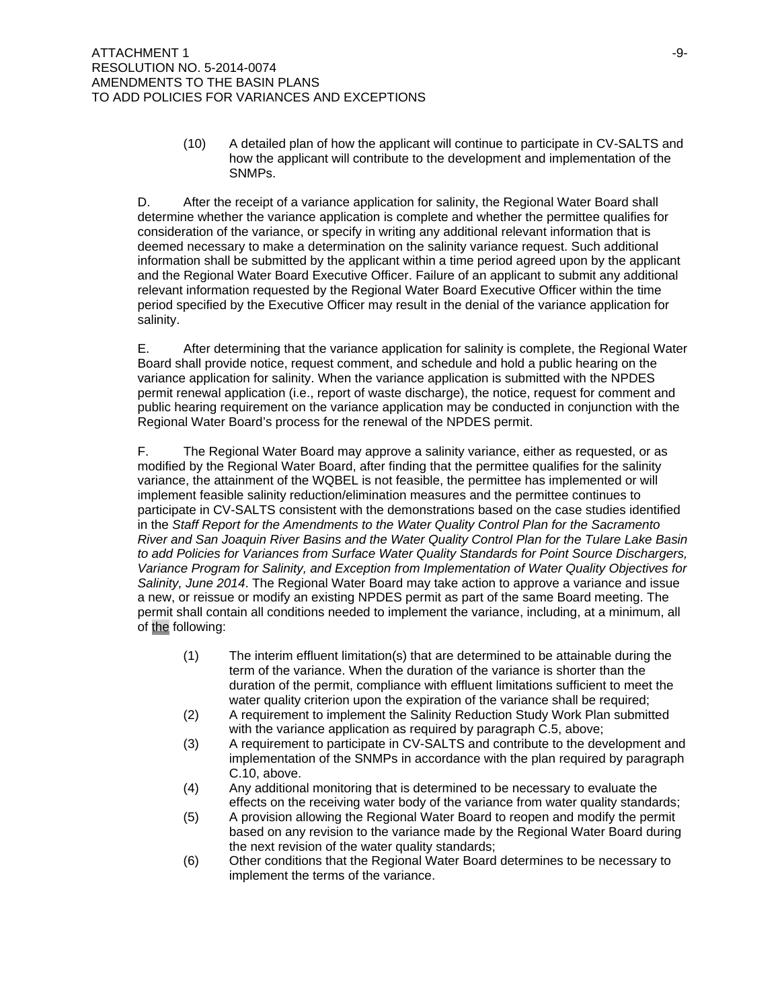(10) A detailed plan of how the applicant will continue to participate in CV-SALTS and how the applicant will contribute to the development and implementation of the SNMPs.

D. After the receipt of a variance application for salinity, the Regional Water Board shall determine whether the variance application is complete and whether the permittee qualifies for consideration of the variance, or specify in writing any additional relevant information that is deemed necessary to make a determination on the salinity variance request. Such additional information shall be submitted by the applicant within a time period agreed upon by the applicant and the Regional Water Board Executive Officer. Failure of an applicant to submit any additional relevant information requested by the Regional Water Board Executive Officer within the time period specified by the Executive Officer may result in the denial of the variance application for salinity.

E. After determining that the variance application for salinity is complete, the Regional Water Board shall provide notice, request comment, and schedule and hold a public hearing on the variance application for salinity. When the variance application is submitted with the NPDES permit renewal application (i.e., report of waste discharge), the notice, request for comment and public hearing requirement on the variance application may be conducted in conjunction with the Regional Water Board's process for the renewal of the NPDES permit.

F. The Regional Water Board may approve a salinity variance, either as requested, or as modified by the Regional Water Board, after finding that the permittee qualifies for the salinity variance, the attainment of the WQBEL is not feasible, the permittee has implemented or will implement feasible salinity reduction/elimination measures and the permittee continues to participate in CV-SALTS consistent with the demonstrations based on the case studies identified in the *Staff Report for the Amendments to the Water Quality Control Plan for the Sacramento River and San Joaquin River Basins and the Water Quality Control Plan for the Tulare Lake Basin to add Policies for Variances from Surface Water Quality Standards for Point Source Dischargers, Variance Program for Salinity, and Exception from Implementation of Water Quality Objectives for Salinity, June 2014*. The Regional Water Board may take action to approve a variance and issue a new, or reissue or modify an existing NPDES permit as part of the same Board meeting. The permit shall contain all conditions needed to implement the variance, including, at a minimum, all of the following:

- (1) The interim effluent limitation(s) that are determined to be attainable during the term of the variance. When the duration of the variance is shorter than the duration of the permit, compliance with effluent limitations sufficient to meet the water quality criterion upon the expiration of the variance shall be required;
- (2) A requirement to implement the Salinity Reduction Study Work Plan submitted with the variance application as required by paragraph C.5, above;
- (3) A requirement to participate in CV-SALTS and contribute to the development and implementation of the SNMPs in accordance with the plan required by paragraph C.10, above.
- (4) Any additional monitoring that is determined to be necessary to evaluate the effects on the receiving water body of the variance from water quality standards;
- (5) A provision allowing the Regional Water Board to reopen and modify the permit based on any revision to the variance made by the Regional Water Board during the next revision of the water quality standards;
- (6) Other conditions that the Regional Water Board determines to be necessary to implement the terms of the variance.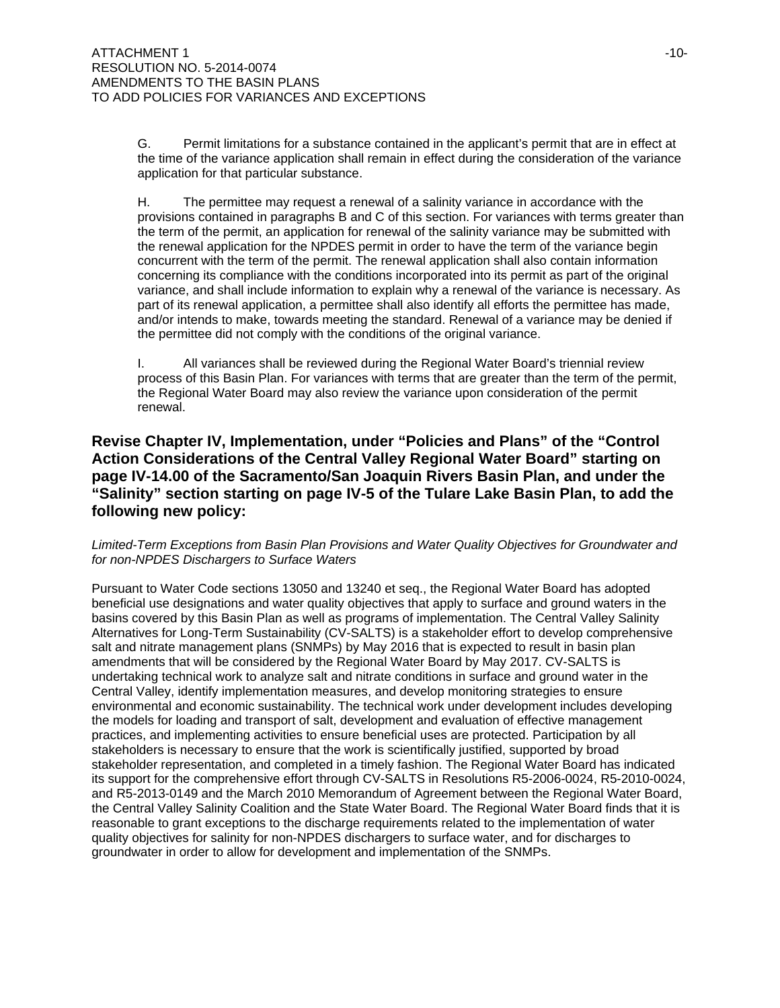G. Permit limitations for a substance contained in the applicant's permit that are in effect at the time of the variance application shall remain in effect during the consideration of the variance application for that particular substance.

H. The permittee may request a renewal of a salinity variance in accordance with the provisions contained in paragraphs B and C of this section. For variances with terms greater than the term of the permit, an application for renewal of the salinity variance may be submitted with the renewal application for the NPDES permit in order to have the term of the variance begin concurrent with the term of the permit. The renewal application shall also contain information concerning its compliance with the conditions incorporated into its permit as part of the original variance, and shall include information to explain why a renewal of the variance is necessary. As part of its renewal application, a permittee shall also identify all efforts the permittee has made, and/or intends to make, towards meeting the standard. Renewal of a variance may be denied if the permittee did not comply with the conditions of the original variance.

I. All variances shall be reviewed during the Regional Water Board's triennial review process of this Basin Plan. For variances with terms that are greater than the term of the permit, the Regional Water Board may also review the variance upon consideration of the permit renewal.

## **Revise Chapter IV, Implementation, under "Policies and Plans" of the "Control Action Considerations of the Central Valley Regional Water Board" starting on page IV-14.00 of the Sacramento/San Joaquin Rivers Basin Plan, and under the "Salinity" section starting on page IV-5 of the Tulare Lake Basin Plan, to add the following new policy:**

### *Limited-Term Exceptions from Basin Plan Provisions and Water Quality Objectives for Groundwater and for non-NPDES Dischargers to Surface Waters*

Pursuant to Water Code sections 13050 and 13240 et seq., the Regional Water Board has adopted beneficial use designations and water quality objectives that apply to surface and ground waters in the basins covered by this Basin Plan as well as programs of implementation. The Central Valley Salinity Alternatives for Long-Term Sustainability (CV-SALTS) is a stakeholder effort to develop comprehensive salt and nitrate management plans (SNMPs) by May 2016 that is expected to result in basin plan amendments that will be considered by the Regional Water Board by May 2017. CV-SALTS is undertaking technical work to analyze salt and nitrate conditions in surface and ground water in the Central Valley, identify implementation measures, and develop monitoring strategies to ensure environmental and economic sustainability. The technical work under development includes developing the models for loading and transport of salt, development and evaluation of effective management practices, and implementing activities to ensure beneficial uses are protected. Participation by all stakeholders is necessary to ensure that the work is scientifically justified, supported by broad stakeholder representation, and completed in a timely fashion. The Regional Water Board has indicated its support for the comprehensive effort through CV-SALTS in Resolutions R5-2006-0024, R5-2010-0024, and R5-2013-0149 and the March 2010 Memorandum of Agreement between the Regional Water Board, the Central Valley Salinity Coalition and the State Water Board. The Regional Water Board finds that it is reasonable to grant exceptions to the discharge requirements related to the implementation of water quality objectives for salinity for non-NPDES dischargers to surface water, and for discharges to groundwater in order to allow for development and implementation of the SNMPs.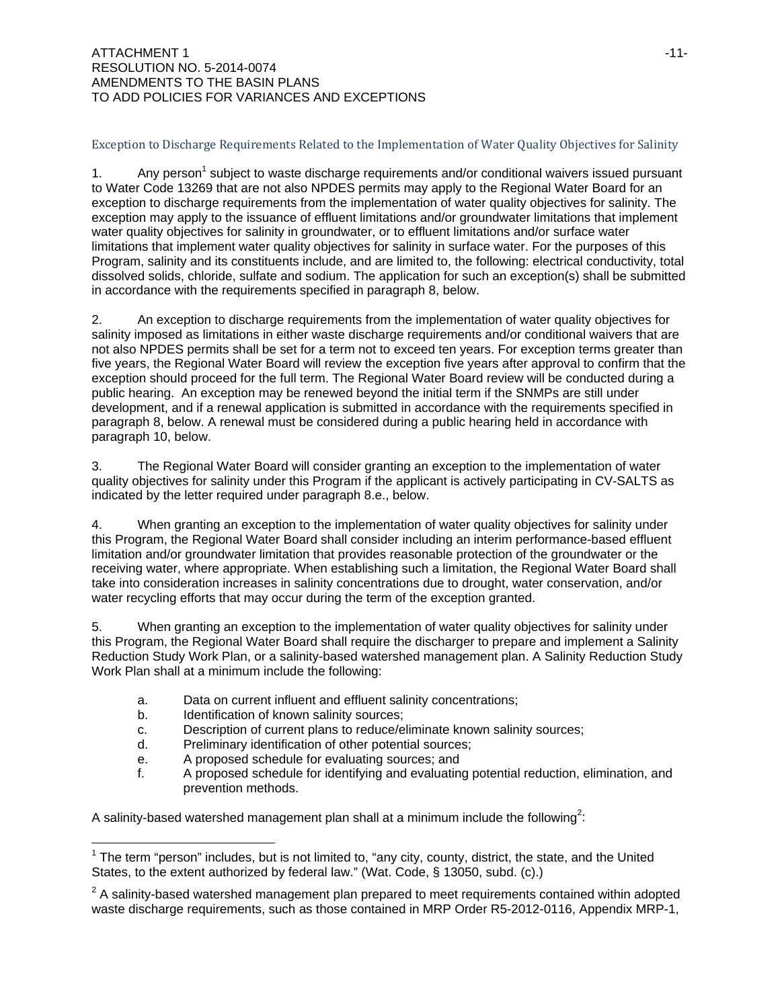### ATTACHMENT 1 and the control of the control of the control of the control of the control of the control of the control of the control of the control of the control of the control of the control of the control of the contro RESOLUTION NO. 5-2014-0074 AMENDMENTS TO THE BASIN PLANS TO ADD POLICIES FOR VARIANCES AND EXCEPTIONS

### Exception to Discharge Requirements Related to the Implementation of Water Quality Objectives for Salinity

1. Any person<sup>1</sup> subject to waste discharge requirements and/or conditional waivers issued pursuant to Water Code 13269 that are not also NPDES permits may apply to the Regional Water Board for an exception to discharge requirements from the implementation of water quality objectives for salinity. The exception may apply to the issuance of effluent limitations and/or groundwater limitations that implement water quality objectives for salinity in groundwater, or to effluent limitations and/or surface water limitations that implement water quality objectives for salinity in surface water. For the purposes of this Program, salinity and its constituents include, and are limited to, the following: electrical conductivity, total dissolved solids, chloride, sulfate and sodium. The application for such an exception(s) shall be submitted in accordance with the requirements specified in paragraph 8, below.

2. An exception to discharge requirements from the implementation of water quality objectives for salinity imposed as limitations in either waste discharge requirements and/or conditional waivers that are not also NPDES permits shall be set for a term not to exceed ten years. For exception terms greater than five years, the Regional Water Board will review the exception five years after approval to confirm that the exception should proceed for the full term. The Regional Water Board review will be conducted during a public hearing. An exception may be renewed beyond the initial term if the SNMPs are still under development, and if a renewal application is submitted in accordance with the requirements specified in paragraph 8, below. A renewal must be considered during a public hearing held in accordance with paragraph 10, below.

3. The Regional Water Board will consider granting an exception to the implementation of water quality objectives for salinity under this Program if the applicant is actively participating in CV-SALTS as indicated by the letter required under paragraph 8.e., below.

4. When granting an exception to the implementation of water quality objectives for salinity under this Program, the Regional Water Board shall consider including an interim performance-based effluent limitation and/or groundwater limitation that provides reasonable protection of the groundwater or the receiving water, where appropriate. When establishing such a limitation, the Regional Water Board shall take into consideration increases in salinity concentrations due to drought, water conservation, and/or water recycling efforts that may occur during the term of the exception granted.

5. When granting an exception to the implementation of water quality objectives for salinity under this Program, the Regional Water Board shall require the discharger to prepare and implement a Salinity Reduction Study Work Plan, or a salinity-based watershed management plan. A Salinity Reduction Study Work Plan shall at a minimum include the following:

- a. Data on current influent and effluent salinity concentrations;
- b. Identification of known salinity sources;
- c. Description of current plans to reduce/eliminate known salinity sources;
- d. Preliminary identification of other potential sources;
- e. A proposed schedule for evaluating sources; and
- f. A proposed schedule for identifying and evaluating potential reduction, elimination, and prevention methods.

A salinity-based watershed management plan shall at a minimum include the following<sup>2</sup>:

 $\overline{a}$  $1$  The term "person" includes, but is not limited to, "any city, county, district, the state, and the United States, to the extent authorized by federal law." (Wat. Code, § 13050, subd. (c).)

 $2$  A salinity-based watershed management plan prepared to meet requirements contained within adopted waste discharge requirements, such as those contained in MRP Order R5-2012-0116, Appendix MRP-1,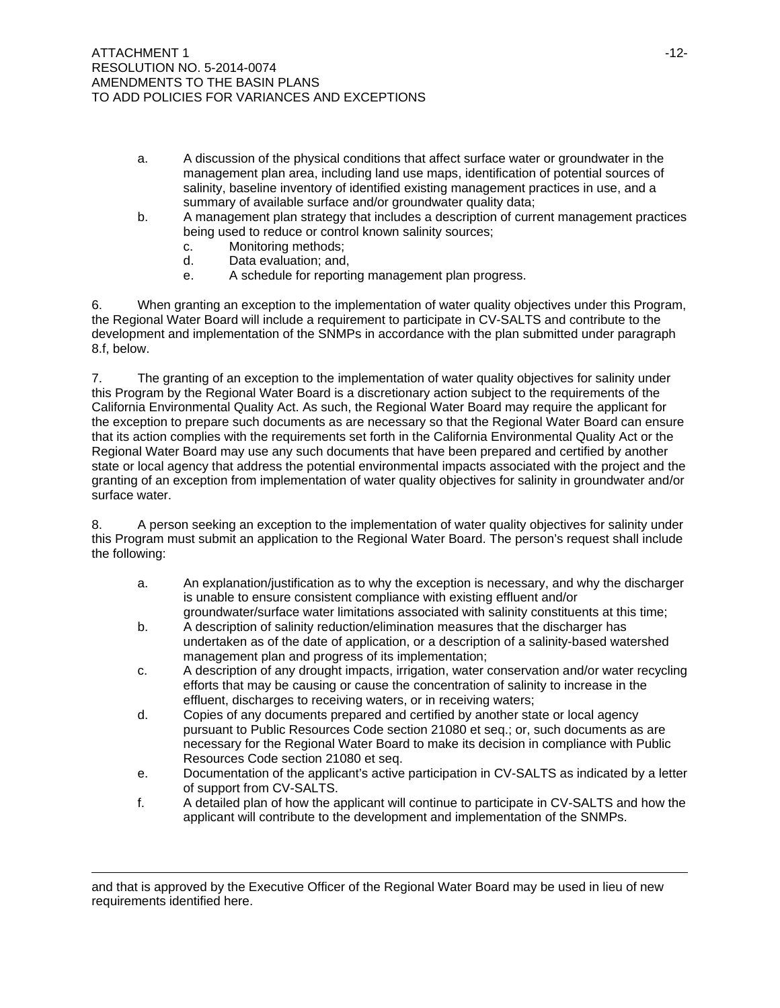- a. A discussion of the physical conditions that affect surface water or groundwater in the management plan area, including land use maps, identification of potential sources of salinity, baseline inventory of identified existing management practices in use, and a summary of available surface and/or groundwater quality data;
- b. A management plan strategy that includes a description of current management practices being used to reduce or control known salinity sources;
	- c. Monitoring methods;
	- d. Data evaluation; and,
	- e. A schedule for reporting management plan progress.

6. When granting an exception to the implementation of water quality objectives under this Program, the Regional Water Board will include a requirement to participate in CV-SALTS and contribute to the development and implementation of the SNMPs in accordance with the plan submitted under paragraph 8.f, below.

7. The granting of an exception to the implementation of water quality objectives for salinity under this Program by the Regional Water Board is a discretionary action subject to the requirements of the California Environmental Quality Act. As such, the Regional Water Board may require the applicant for the exception to prepare such documents as are necessary so that the Regional Water Board can ensure that its action complies with the requirements set forth in the California Environmental Quality Act or the Regional Water Board may use any such documents that have been prepared and certified by another state or local agency that address the potential environmental impacts associated with the project and the granting of an exception from implementation of water quality objectives for salinity in groundwater and/or surface water.

8. A person seeking an exception to the implementation of water quality objectives for salinity under this Program must submit an application to the Regional Water Board. The person's request shall include the following:

- a. An explanation/justification as to why the exception is necessary, and why the discharger is unable to ensure consistent compliance with existing effluent and/or groundwater/surface water limitations associated with salinity constituents at this time;
- b. A description of salinity reduction/elimination measures that the discharger has undertaken as of the date of application, or a description of a salinity-based watershed management plan and progress of its implementation;
- c. A description of any drought impacts, irrigation, water conservation and/or water recycling efforts that may be causing or cause the concentration of salinity to increase in the effluent, discharges to receiving waters, or in receiving waters;
- d. Copies of any documents prepared and certified by another state or local agency pursuant to Public Resources Code section 21080 et seq.; or, such documents as are necessary for the Regional Water Board to make its decision in compliance with Public Resources Code section 21080 et seq.
- e. Documentation of the applicant's active participation in CV-SALTS as indicated by a letter of support from CV-SALTS.
- f. A detailed plan of how the applicant will continue to participate in CV-SALTS and how the applicant will contribute to the development and implementation of the SNMPs.

 $\overline{a}$ 

and that is approved by the Executive Officer of the Regional Water Board may be used in lieu of new requirements identified here.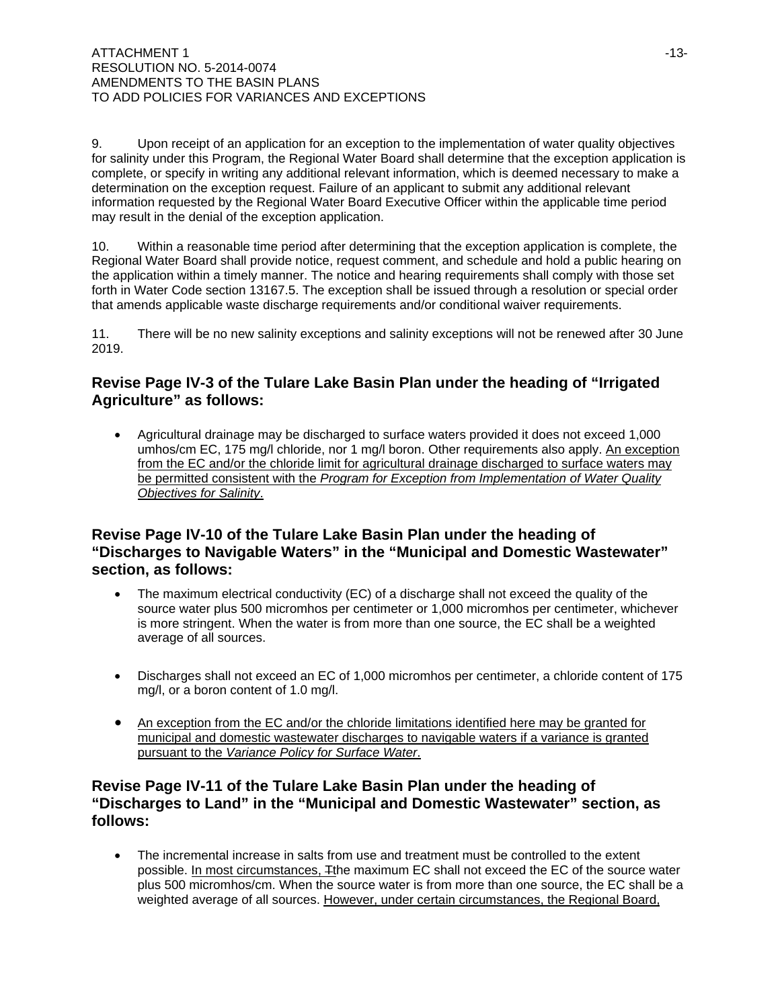9. Upon receipt of an application for an exception to the implementation of water quality objectives for salinity under this Program, the Regional Water Board shall determine that the exception application is complete, or specify in writing any additional relevant information, which is deemed necessary to make a determination on the exception request. Failure of an applicant to submit any additional relevant information requested by the Regional Water Board Executive Officer within the applicable time period may result in the denial of the exception application.

10. Within a reasonable time period after determining that the exception application is complete, the Regional Water Board shall provide notice, request comment, and schedule and hold a public hearing on the application within a timely manner. The notice and hearing requirements shall comply with those set forth in Water Code section 13167.5. The exception shall be issued through a resolution or special order that amends applicable waste discharge requirements and/or conditional waiver requirements.

11. There will be no new salinity exceptions and salinity exceptions will not be renewed after 30 June 2019.

# **Revise Page IV-3 of the Tulare Lake Basin Plan under the heading of "Irrigated Agriculture" as follows:**

• Agricultural drainage may be discharged to surface waters provided it does not exceed 1,000 umhos/cm EC, 175 mg/l chloride, nor 1 mg/l boron. Other requirements also apply. An exception from the EC and/or the chloride limit for agricultural drainage discharged to surface waters may be permitted consistent with the *Program for Exception from Implementation of Water Quality Objectives for Salinity*.

# **Revise Page IV-10 of the Tulare Lake Basin Plan under the heading of "Discharges to Navigable Waters" in the "Municipal and Domestic Wastewater" section, as follows:**

- The maximum electrical conductivity (EC) of a discharge shall not exceed the quality of the source water plus 500 micromhos per centimeter or 1,000 micromhos per centimeter, whichever is more stringent. When the water is from more than one source, the EC shall be a weighted average of all sources.
- Discharges shall not exceed an EC of 1,000 micromhos per centimeter, a chloride content of 175 mg/l, or a boron content of 1.0 mg/l.
- An exception from the EC and/or the chloride limitations identified here may be granted for municipal and domestic wastewater discharges to navigable waters if a variance is granted pursuant to the *Variance Policy for Surface Water*.

# **Revise Page IV-11 of the Tulare Lake Basin Plan under the heading of "Discharges to Land" in the "Municipal and Domestic Wastewater" section, as follows:**

• The incremental increase in salts from use and treatment must be controlled to the extent possible. In most circumstances, Tthe maximum EC shall not exceed the EC of the source water plus 500 micromhos/cm. When the source water is from more than one source, the EC shall be a weighted average of all sources. However, under certain circumstances, the Regional Board,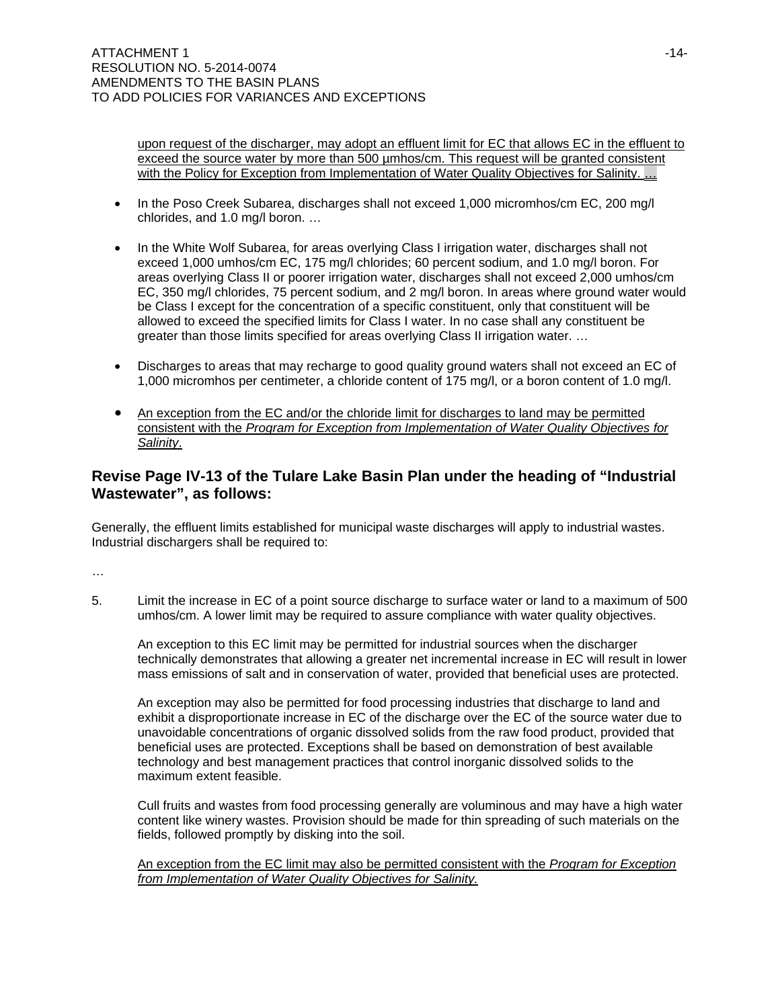upon request of the discharger, may adopt an effluent limit for EC that allows EC in the effluent to exceed the source water by more than 500 µmhos/cm. This request will be granted consistent with the Policy for Exception from Implementation of Water Quality Objectives for Salinity. ...

- In the Poso Creek Subarea, discharges shall not exceed 1,000 micromhos/cm EC, 200 mg/l chlorides, and 1.0 mg/l boron. …
- In the White Wolf Subarea, for areas overlying Class I irrigation water, discharges shall not exceed 1,000 umhos/cm EC, 175 mg/l chlorides; 60 percent sodium, and 1.0 mg/l boron. For areas overlying Class II or poorer irrigation water, discharges shall not exceed 2,000 umhos/cm EC, 350 mg/l chlorides, 75 percent sodium, and 2 mg/l boron. In areas where ground water would be Class I except for the concentration of a specific constituent, only that constituent will be allowed to exceed the specified limits for Class I water. In no case shall any constituent be greater than those limits specified for areas overlying Class II irrigation water. …
- Discharges to areas that may recharge to good quality ground waters shall not exceed an EC of 1,000 micromhos per centimeter, a chloride content of 175 mg/l, or a boron content of 1.0 mg/l.
- An exception from the EC and/or the chloride limit for discharges to land may be permitted consistent with the *Program for Exception from Implementation of Water Quality Objectives for Salinity*.

## **Revise Page IV-13 of the Tulare Lake Basin Plan under the heading of "Industrial Wastewater", as follows:**

Generally, the effluent limits established for municipal waste discharges will apply to industrial wastes. Industrial dischargers shall be required to:

…

5. Limit the increase in EC of a point source discharge to surface water or land to a maximum of 500 umhos/cm. A lower limit may be required to assure compliance with water quality objectives.

 An exception to this EC limit may be permitted for industrial sources when the discharger technically demonstrates that allowing a greater net incremental increase in EC will result in lower mass emissions of salt and in conservation of water, provided that beneficial uses are protected.

An exception may also be permitted for food processing industries that discharge to land and exhibit a disproportionate increase in EC of the discharge over the EC of the source water due to unavoidable concentrations of organic dissolved solids from the raw food product, provided that beneficial uses are protected. Exceptions shall be based on demonstration of best available technology and best management practices that control inorganic dissolved solids to the maximum extent feasible.

Cull fruits and wastes from food processing generally are voluminous and may have a high water content like winery wastes. Provision should be made for thin spreading of such materials on the fields, followed promptly by disking into the soil.

An exception from the EC limit may also be permitted consistent with the *Program for Exception from Implementation of Water Quality Objectives for Salinity.*